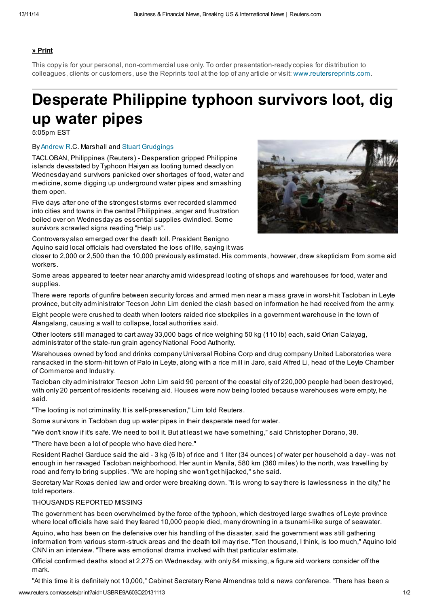## » Print

This copy is for your personal, non-commercial use only. To order presentation-ready copies for distribution to colleagues, clients or customers, use the Reprints tool at the top of any article or visit: [www.reutersreprints.com](http://www.reutersreprints.com/).

## Desperate Philippine typhoon survivors loot, dig up water pipes

5:05pm EST

By [Andrew](http://blogs.reuters.com/search/journalist.php?edition=us&n=Andrew.R) R.C. Marshall and Stuart [Grudgings](http://blogs.reuters.com/search/journalist.php?edition=us&n=Stuart.Grudgings)

TACLOBAN, Philippines (Reuters) - Desperation gripped Philippine islands devastated by Typhoon Haiyan as looting turned deadly on Wednesday and survivors panicked over shortages of food, water and medicine, some digging up underground water pipes and smashing them open.

Five days after one of the strongest storms ever recorded slammed into cities and towns in the central Philippines, anger and frustration boiled over on Wednesday as essential supplies dwindled. Some survivors scrawled signs reading "Help us".

Controversy also emerged over the death toll. President Benigno Aquino said local officials had overstated the loss of life, saying it was



closer to 2,000 or 2,500 than the 10,000 previously estimated. His comments, however, drew skepticism from some aid workers.

Some areas appeared to teeter near anarchy amid widespread looting of shops and warehouses for food, water and supplies.

There were reports of gunfire between security forces and armed men near a mass grave in worst-hit Tacloban in Leyte province, but city administrator Tecson John Lim denied the clash based on information he had received from the army.

Eight people were crushed to death when looters raided rice stockpiles in a government warehouse in the town of Alangalang, causing a wall to collapse, local authorities said.

Other looters still managed to cart away 33,000 bags of rice weighing 50 kg (110 lb) each, said Orlan Calayag, administrator of the state-run grain agency National Food Authority.

Warehouses owned by food and drinks company Universal Robina Corp and drug company United Laboratories were ransacked in the storm-hit town of Palo in Leyte, along with a rice mill in Jaro, said Alfred Li, head of the Leyte Chamber of Commerce and Industry.

Tacloban city administrator Tecson John Lim said 90 percent of the coastal city of 220,000 people had been destroyed, with only 20 percent of residents receiving aid. Houses were now being looted because warehouses were empty, he said.

"The looting is not criminality. It is self-preservation," Lim told Reuters.

Some survivors in Tacloban dug up water pipes in their desperate need for water.

"We don't know if it's safe. We need to boil it. But at least we have something," said Christopher Dorano, 38.

"There have been a lot of people who have died here."

Resident Rachel Garduce said the aid - 3 kg (6 lb) of rice and 1 liter (34 ounces) of water per household a day - was not enough in her ravaged Tacloban neighborhood. Her aunt in Manila, 580 km (360 miles) to the north, was travelling by road and ferry to bring supplies. "We are hoping she won't get hijacked," she said.

Secretary Mar Roxas denied law and order were breaking down. "It is wrong to say there is lawlessness in the city," he told reporters.

## THOUSANDS REPORTED MISSING

The government has been overwhelmed by the force of the typhoon, which destroyed large swathes of Leyte province where local officials have said they feared 10,000 people died, many drowning in a tsunami-like surge of seawater.

Aquino, who has been on the defensive over his handling of the disaster, said the government was still gathering information from various storm-struck areas and the death toll may rise. "Ten thousand, I think, is too much," Aquino told CNN in an interview. "There was emotional drama involved with that particular estimate.

Official confirmed deaths stood at 2,275 on Wednesday, with only 84 missing, a figure aid workers consider off the mark.

"At this time it is definitely not 10,000," Cabinet Secretary Rene Almendras told a news conference. "There has been a